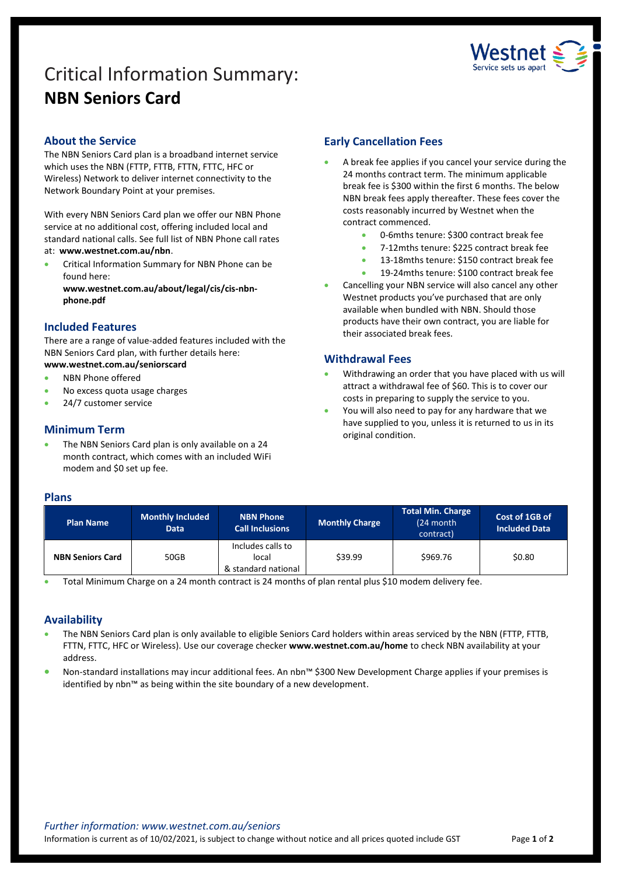# Critical Information Summary: **NBN Seniors Card**



# **About the Service**

The NBN Seniors Card plan is a broadband internet service which uses the NBN (FTTP, FTTB, FTTN, FTTC, HFC or Wireless) Network to deliver internet connectivity to the Network Boundary Point at your premises.

With every NBN Seniors Card plan we offer our NBN Phone service at no additional cost, offering included local and standard national calls. See full list of NBN Phone call rates at: **www.westnet.com.au/nbn**.

• Critical Information Summary for NBN Phone can be found here:

**www.westnet.com.au/about/legal/cis/cis-nbnphone.pdf**

## **Included Features**

There are a range of value-added features included with the NBN Seniors Card plan, with further details here:

- **www.westnet.com.au/seniorscard**
- NBN Phone offered
- No excess quota usage charges
- 24/7 customer service

# **Minimum Term**

The NBN Seniors Card plan is only available on a 24 month contract, which comes with an included WiFi modem and \$0 set up fee.

# **Early Cancellation Fees**

- A break fee applies if you cancel your service during the 24 months contract term. The minimum applicable break fee is \$300 within the first 6 months. The below NBN break fees apply thereafter. These fees cover the costs reasonably incurred by Westnet when the contract commenced.
	- 0-6mths tenure: \$300 contract break fee
	- 7-12mths tenure: \$225 contract break fee
	- 13-18mths tenure: \$150 contract break fee
	- 19-24mths tenure: \$100 contract break fee
- Cancelling your NBN service will also cancel any other Westnet products you've purchased that are only available when bundled with NBN. Should those products have their own contract, you are liable for their associated break fees.

# **Withdrawal Fees**

- Withdrawing an order that you have placed with us will attract a withdrawal fee of \$60. This is to cover our costs in preparing to supply the service to you.
- You will also need to pay for any hardware that we have supplied to you, unless it is returned to us in its original condition.

## **Plans**

| <b>Plan Name</b>        | <b>Monthly Included</b><br><b>Data</b> | <b>NBN Phone</b><br><b>Call Inclusions</b>        | <b>Monthly Charge</b> | Total Min. Charge<br>(24 month<br>contract) | Cost of 1GB of<br><b>Included Data</b> |
|-------------------------|----------------------------------------|---------------------------------------------------|-----------------------|---------------------------------------------|----------------------------------------|
| <b>NBN Seniors Card</b> | 50GB                                   | Includes calls to<br>local<br>& standard national | \$39.99               | \$969.76                                    | \$0.80                                 |

• Total Minimum Charge on a 24 month contract is 24 months of plan rental plus \$10 modem delivery fee.

# **Availability**

- The NBN Seniors Card plan is only available to eligible Seniors Card holders within areas serviced by the NBN (FTTP, FTTB, FTTN, FTTC, HFC or Wireless). Use ou[r coverage checker](https://www.westnet.com.au/internet-products/broadband/nbn/coverage/) **www.westnet.com.au/home** to check NBN availability at your address.
- Non-standard installations may incur additional fees. An nbn™ \$300 New Development Charge applies if your premises is identified by nbn™ as being within the site boundary of a new development.